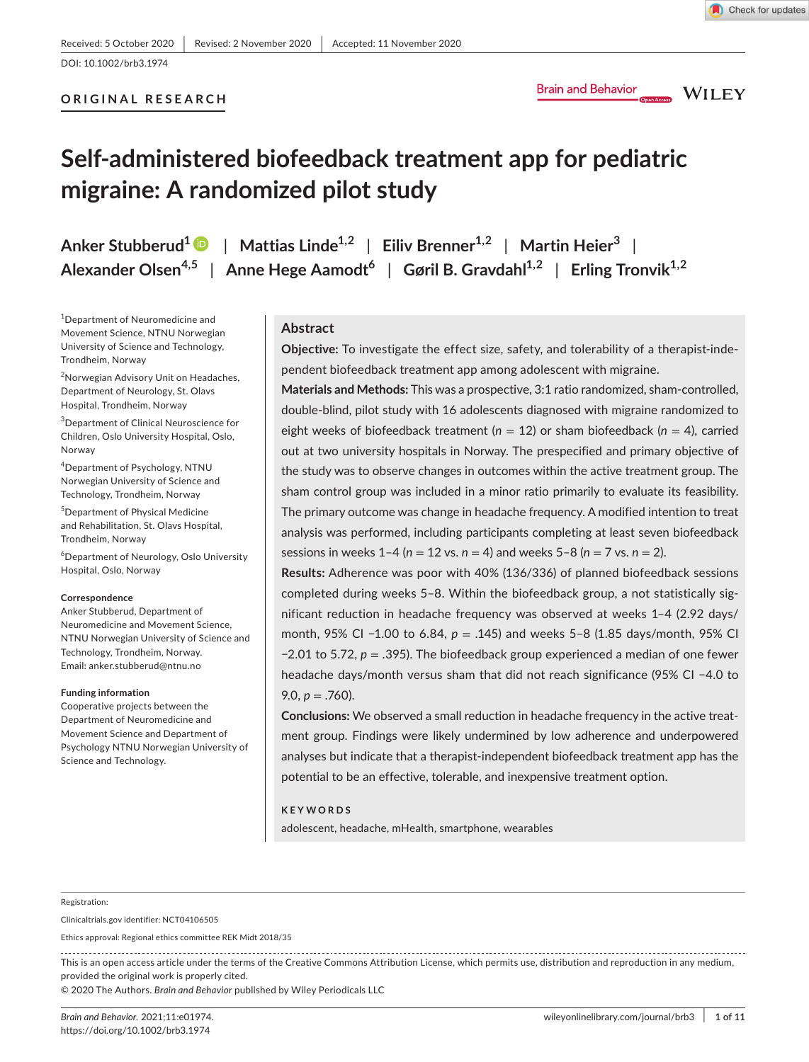# **ORIGINAL RESEARCH**

**WILEY** 

# **Self-administered biofeedback treatment app for pediatric migraine: A randomized pilot study**

**Anker Stubberud[1](https://orcid.org/0000-0003-0934-9914)** | **Mattias Linde1,2** | **Eiliv Brenner1,2** | **Martin Heier<sup>3</sup>** | **Alexander Olsen4,5** | **Anne Hege Aamodt6** | **Gøril B. Gravdahl1,2** | **Erling Tronvik1,2**

1 Department of Neuromedicine and Movement Science, NTNU Norwegian University of Science and Technology, Trondheim, Norway

<sup>2</sup>Norwegian Advisory Unit on Headaches, Department of Neurology, St. Olavs Hospital, Trondheim, Norway

3 Department of Clinical Neuroscience for Children, Oslo University Hospital, Oslo, Norway

4 Department of Psychology, NTNU Norwegian University of Science and Technology, Trondheim, Norway

5 Department of Physical Medicine and Rehabilitation, St. Olavs Hospital, Trondheim, Norway

 $^6$ Department of Neurology, Oslo University Hospital, Oslo, Norway

#### **Correspondence**

Anker Stubberud, Department of Neuromedicine and Movement Science, NTNU Norwegian University of Science and Technology, Trondheim, Norway. Email: [anker.stubberud@ntnu.no](mailto:anker.stubberud@ntnu.no)

#### **Funding information**

Cooperative projects between the Department of Neuromedicine and Movement Science and Department of Psychology NTNU Norwegian University of Science and Technology.

# **Abstract**

**Objective:** To investigate the effect size, safety, and tolerability of a therapist-independent biofeedback treatment app among adolescent with migraine.

**Materials and Methods:** This was a prospective, 3:1 ratio randomized, sham-controlled, double-blind, pilot study with 16 adolescents diagnosed with migraine randomized to eight weeks of biofeedback treatment ( $n = 12$ ) or sham biofeedback ( $n = 4$ ), carried out at two university hospitals in Norway. The prespecified and primary objective of the study was to observe changes in outcomes within the active treatment group. The sham control group was included in a minor ratio primarily to evaluate its feasibility. The primary outcome was change in headache frequency. A modified intention to treat analysis was performed, including participants completing at least seven biofeedback sessions in weeks 1–4 (*n* = 12 vs. *n* = 4) and weeks 5–8 (*n* = 7 vs. *n* = 2).

**Results:** Adherence was poor with 40% (136/336) of planned biofeedback sessions completed during weeks 5–8. Within the biofeedback group, a not statistically significant reduction in headache frequency was observed at weeks 1–4 (2.92 days/ month, 95% CI −1.00 to 6.84, *p* = .145) and weeks 5–8 (1.85 days/month, 95% CI −2.01 to 5.72, *p* = .395). The biofeedback group experienced a median of one fewer headache days/month versus sham that did not reach significance (95% CI −4.0 to 9.0,  $p = .760$ ).

**Conclusions:** We observed a small reduction in headache frequency in the active treatment group. Findings were likely undermined by low adherence and underpowered analyses but indicate that a therapist-independent biofeedback treatment app has the potential to be an effective, tolerable, and inexpensive treatment option.

### **KEYWORDS**

adolescent, headache, mHealth, smartphone, wearables

#### Registration:

Clinicaltrials.gov identifier: NCT04106505

Ethics approval: Regional ethics committee REK Midt 2018/35

This is an open access article under the terms of the Creative Commons [Attribution](http://creativecommons.org/licenses/by/4.0/) License, which permits use, distribution and reproduction in any medium, provided the original work is properly cited.

© 2020 The Authors. *Brain and Behavior* published by Wiley Periodicals LLC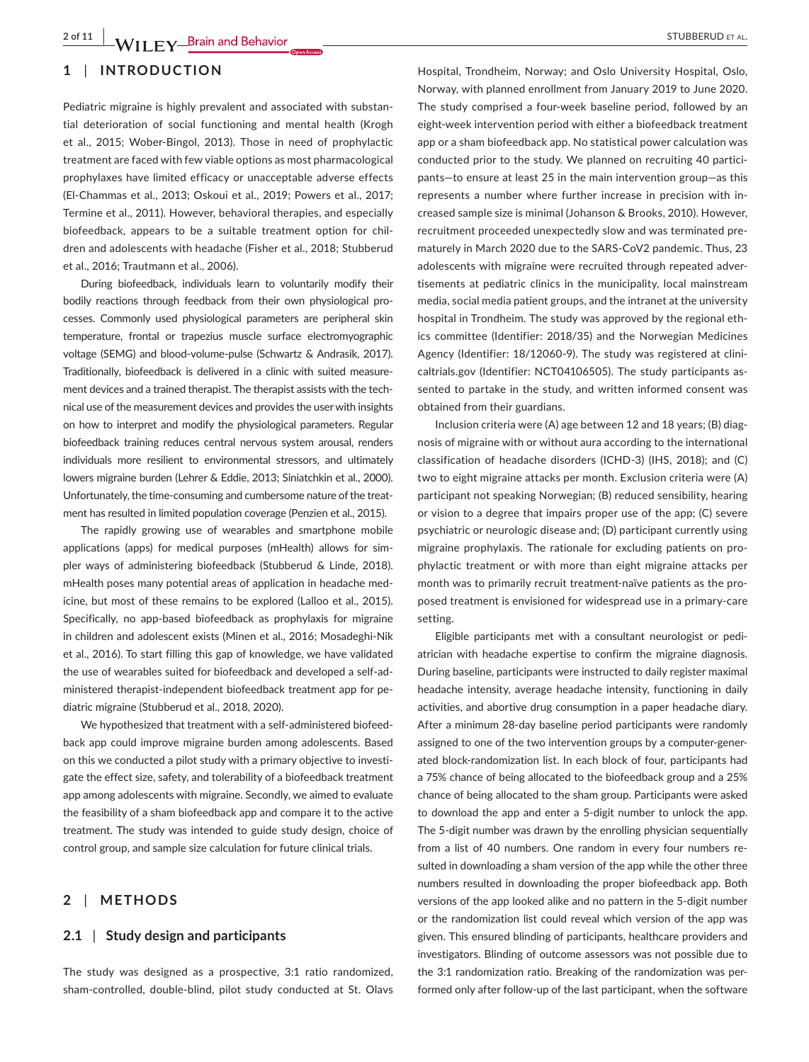# **1** | **INTRODUCTION**

Pediatric migraine is highly prevalent and associated with substantial deterioration of social functioning and mental health (Krogh et al., 2015; Wober-Bingol, 2013). Those in need of prophylactic treatment are faced with few viable options as most pharmacological prophylaxes have limited efficacy or unacceptable adverse effects (El-Chammas et al., 2013; Oskoui et al., 2019; Powers et al., 2017; Termine et al., 2011). However, behavioral therapies, and especially biofeedback, appears to be a suitable treatment option for children and adolescents with headache (Fisher et al., 2018; Stubberud et al., 2016; Trautmann et al., 2006).

During biofeedback, individuals learn to voluntarily modify their bodily reactions through feedback from their own physiological processes. Commonly used physiological parameters are peripheral skin temperature, frontal or trapezius muscle surface electromyographic voltage (SEMG) and blood-volume-pulse (Schwartz & Andrasik, 2017). Traditionally, biofeedback is delivered in a clinic with suited measurement devices and a trained therapist. The therapist assists with the technical use of the measurement devices and provides the user with insights on how to interpret and modify the physiological parameters. Regular biofeedback training reduces central nervous system arousal, renders individuals more resilient to environmental stressors, and ultimately lowers migraine burden (Lehrer & Eddie, 2013; Siniatchkin et al., 2000). Unfortunately, the time-consuming and cumbersome nature of the treatment has resulted in limited population coverage (Penzien et al., 2015).

The rapidly growing use of wearables and smartphone mobile applications (apps) for medical purposes (mHealth) allows for simpler ways of administering biofeedback (Stubberud & Linde, 2018). mHealth poses many potential areas of application in headache medicine, but most of these remains to be explored (Lalloo et al., 2015). Specifically, no app-based biofeedback as prophylaxis for migraine in children and adolescent exists (Minen et al., 2016; Mosadeghi-Nik et al., 2016). To start filling this gap of knowledge, we have validated the use of wearables suited for biofeedback and developed a self-administered therapist-independent biofeedback treatment app for pediatric migraine (Stubberud et al., 2018, 2020).

We hypothesized that treatment with a self-administered biofeedback app could improve migraine burden among adolescents. Based on this we conducted a pilot study with a primary objective to investigate the effect size, safety, and tolerability of a biofeedback treatment app among adolescents with migraine. Secondly, we aimed to evaluate the feasibility of a sham biofeedback app and compare it to the active treatment. The study was intended to guide study design, choice of control group, and sample size calculation for future clinical trials.

# **2** | **METHODS**

# **2.1** | **Study design and participants**

The study was designed as a prospective, 3:1 ratio randomized, sham-controlled, double-blind, pilot study conducted at St. Olavs

Hospital, Trondheim, Norway; and Oslo University Hospital, Oslo, Norway, with planned enrollment from January 2019 to June 2020. The study comprised a four-week baseline period, followed by an eight-week intervention period with either a biofeedback treatment app or a sham biofeedback app. No statistical power calculation was conducted prior to the study. We planned on recruiting 40 participants—to ensure at least 25 in the main intervention group—as this represents a number where further increase in precision with increased sample size is minimal (Johanson & Brooks, 2010). However, recruitment proceeded unexpectedly slow and was terminated prematurely in March 2020 due to the SARS-CoV2 pandemic. Thus, 23 adolescents with migraine were recruited through repeated advertisements at pediatric clinics in the municipality, local mainstream media, social media patient groups, and the intranet at the university hospital in Trondheim. The study was approved by the regional ethics committee (Identifier: 2018/35) and the Norwegian Medicines Agency (Identifier: 18/12060-9). The study was registered at clinicaltrials.gov (Identifier: NCT04106505). The study participants assented to partake in the study, and written informed consent was obtained from their guardians.

Inclusion criteria were (A) age between 12 and 18 years; (B) diagnosis of migraine with or without aura according to the international classification of headache disorders (ICHD-3) (IHS, 2018); and (C) two to eight migraine attacks per month. Exclusion criteria were (A) participant not speaking Norwegian; (B) reduced sensibility, hearing or vision to a degree that impairs proper use of the app; (C) severe psychiatric or neurologic disease and; (D) participant currently using migraine prophylaxis. The rationale for excluding patients on prophylactic treatment or with more than eight migraine attacks per month was to primarily recruit treatment-naïve patients as the proposed treatment is envisioned for widespread use in a primary-care setting.

Eligible participants met with a consultant neurologist or pediatrician with headache expertise to confirm the migraine diagnosis. During baseline, participants were instructed to daily register maximal headache intensity, average headache intensity, functioning in daily activities, and abortive drug consumption in a paper headache diary. After a minimum 28-day baseline period participants were randomly assigned to one of the two intervention groups by a computer-generated block-randomization list. In each block of four, participants had a 75% chance of being allocated to the biofeedback group and a 25% chance of being allocated to the sham group. Participants were asked to download the app and enter a 5-digit number to unlock the app. The 5-digit number was drawn by the enrolling physician sequentially from a list of 40 numbers. One random in every four numbers resulted in downloading a sham version of the app while the other three numbers resulted in downloading the proper biofeedback app. Both versions of the app looked alike and no pattern in the 5-digit number or the randomization list could reveal which version of the app was given. This ensured blinding of participants, healthcare providers and investigators. Blinding of outcome assessors was not possible due to the 3:1 randomization ratio. Breaking of the randomization was performed only after follow-up of the last participant, when the software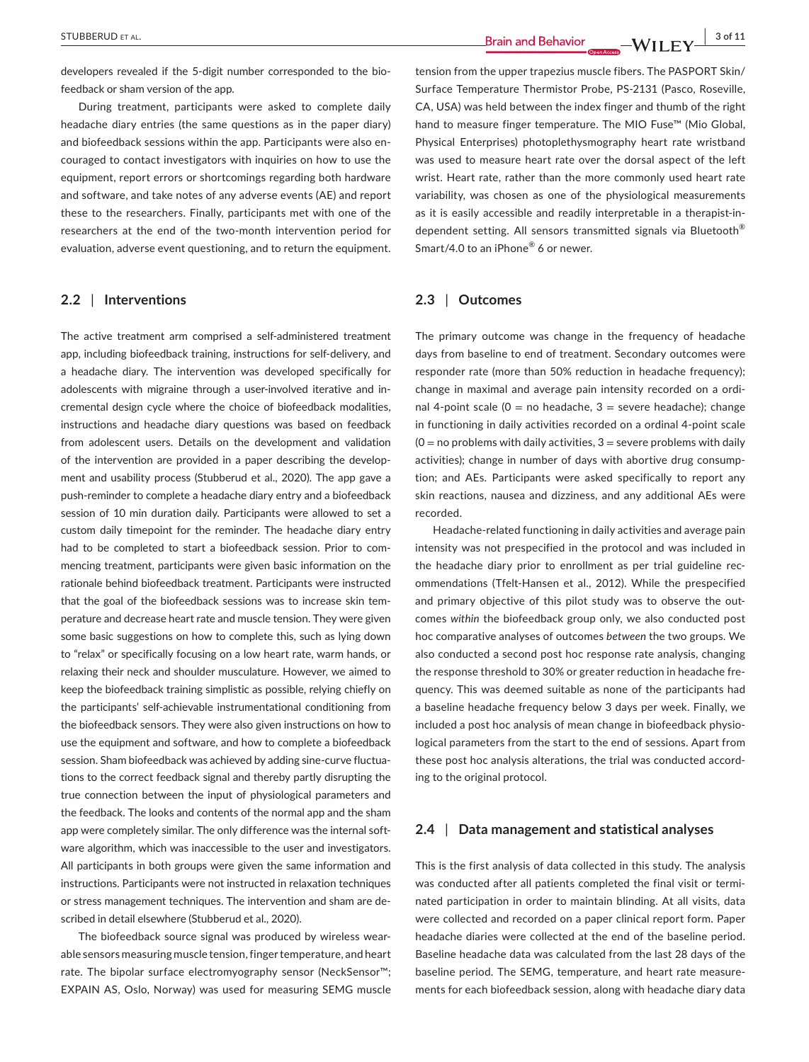developers revealed if the 5-digit number corresponded to the biofeedback or sham version of the app.

During treatment, participants were asked to complete daily headache diary entries (the same questions as in the paper diary) and biofeedback sessions within the app. Participants were also encouraged to contact investigators with inquiries on how to use the equipment, report errors or shortcomings regarding both hardware and software, and take notes of any adverse events (AE) and report these to the researchers. Finally, participants met with one of the researchers at the end of the two-month intervention period for evaluation, adverse event questioning, and to return the equipment.

# **2.2** | **Interventions**

The active treatment arm comprised a self-administered treatment app, including biofeedback training, instructions for self-delivery, and a headache diary. The intervention was developed specifically for adolescents with migraine through a user-involved iterative and incremental design cycle where the choice of biofeedback modalities, instructions and headache diary questions was based on feedback from adolescent users. Details on the development and validation of the intervention are provided in a paper describing the development and usability process (Stubberud et al., 2020). The app gave a push-reminder to complete a headache diary entry and a biofeedback session of 10 min duration daily. Participants were allowed to set a custom daily timepoint for the reminder. The headache diary entry had to be completed to start a biofeedback session. Prior to commencing treatment, participants were given basic information on the rationale behind biofeedback treatment. Participants were instructed that the goal of the biofeedback sessions was to increase skin temperature and decrease heart rate and muscle tension. They were given some basic suggestions on how to complete this, such as lying down to "relax" or specifically focusing on a low heart rate, warm hands, or relaxing their neck and shoulder musculature. However, we aimed to keep the biofeedback training simplistic as possible, relying chiefly on the participants' self-achievable instrumentational conditioning from the biofeedback sensors. They were also given instructions on how to use the equipment and software, and how to complete a biofeedback session. Sham biofeedback was achieved by adding sine-curve fluctuations to the correct feedback signal and thereby partly disrupting the true connection between the input of physiological parameters and the feedback. The looks and contents of the normal app and the sham app were completely similar. The only difference was the internal software algorithm, which was inaccessible to the user and investigators. All participants in both groups were given the same information and instructions. Participants were not instructed in relaxation techniques or stress management techniques. The intervention and sham are described in detail elsewhere (Stubberud et al., 2020).

The biofeedback source signal was produced by wireless wearable sensors measuring muscle tension,fingertemperature, and heart rate. The bipolar surface electromyography sensor (NeckSensor™; EXPAIN AS, Oslo, Norway) was used for measuring SEMG muscle

tension from the upper trapezius muscle fibers. The PASPORT Skin/ Surface Temperature Thermistor Probe, PS-2131 (Pasco, Roseville, CA, USA) was held between the index finger and thumb of the right hand to measure finger temperature. The MIO Fuse™ (Mio Global, Physical Enterprises) photoplethysmography heart rate wristband was used to measure heart rate over the dorsal aspect of the left wrist. Heart rate, rather than the more commonly used heart rate variability, was chosen as one of the physiological measurements as it is easily accessible and readily interpretable in a therapist-independent setting. All sensors transmitted signals via Bluetooth® Smart/4.0 to an iPhone® 6 or newer.

# **2.3** | **Outcomes**

The primary outcome was change in the frequency of headache days from baseline to end of treatment. Secondary outcomes were responder rate (more than 50% reduction in headache frequency); change in maximal and average pain intensity recorded on a ordinal 4-point scale ( $0 =$  no headache,  $3 =$  severe headache); change in functioning in daily activities recorded on a ordinal 4-point scale  $(0 = no$  problems with daily activities,  $3 =$  severe problems with daily activities); change in number of days with abortive drug consumption; and AEs. Participants were asked specifically to report any skin reactions, nausea and dizziness, and any additional AEs were recorded.

Headache-related functioning in daily activities and average pain intensity was not prespecified in the protocol and was included in the headache diary prior to enrollment as per trial guideline recommendations (Tfelt-Hansen et al., 2012). While the prespecified and primary objective of this pilot study was to observe the outcomes *within* the biofeedback group only, we also conducted post hoc comparative analyses of outcomes *between* the two groups. We also conducted a second post hoc response rate analysis, changing the response threshold to 30% or greater reduction in headache frequency. This was deemed suitable as none of the participants had a baseline headache frequency below 3 days per week. Finally, we included a post hoc analysis of mean change in biofeedback physiological parameters from the start to the end of sessions. Apart from these post hoc analysis alterations, the trial was conducted according to the original protocol.

# **2.4** | **Data management and statistical analyses**

This is the first analysis of data collected in this study. The analysis was conducted after all patients completed the final visit or terminated participation in order to maintain blinding. At all visits, data were collected and recorded on a paper clinical report form. Paper headache diaries were collected at the end of the baseline period. Baseline headache data was calculated from the last 28 days of the baseline period. The SEMG, temperature, and heart rate measurements for each biofeedback session, along with headache diary data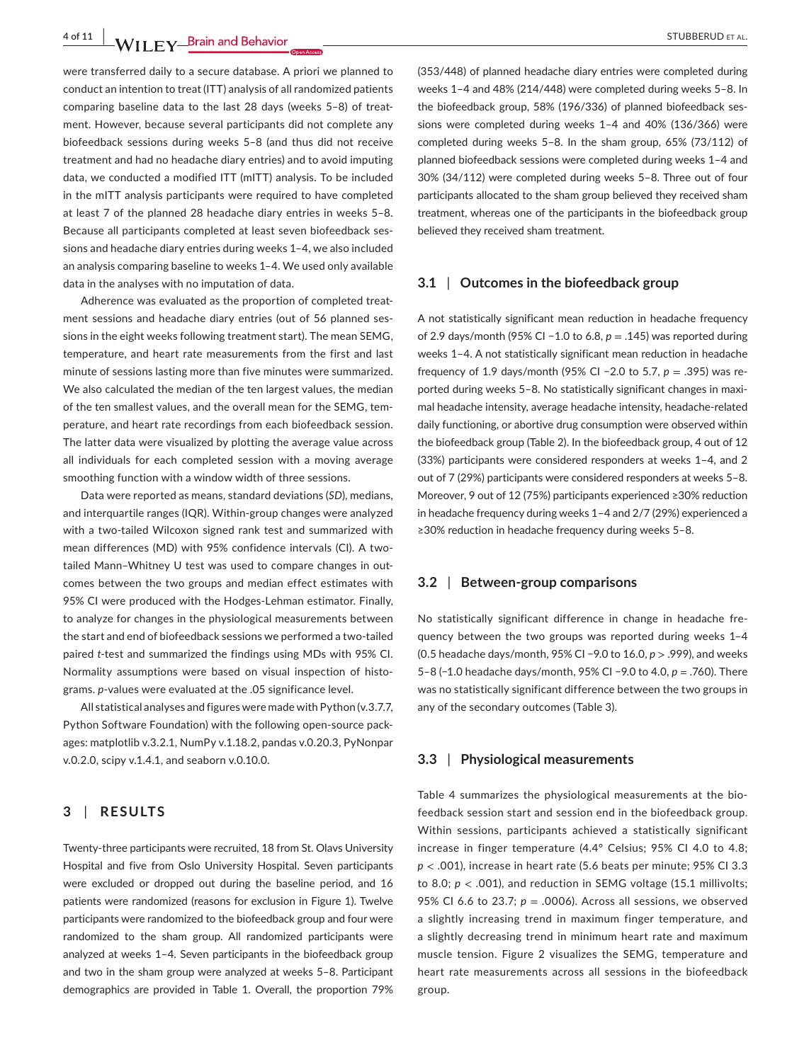**4 of 11 |**  STUBBERUD et al.

were transferred daily to a secure database. A priori we planned to conduct an intention to treat (ITT) analysis of all randomized patients comparing baseline data to the last 28 days (weeks 5–8) of treatment. However, because several participants did not complete any biofeedback sessions during weeks 5–8 (and thus did not receive treatment and had no headache diary entries) and to avoid imputing data, we conducted a modified ITT (mITT) analysis. To be included in the mITT analysis participants were required to have completed at least 7 of the planned 28 headache diary entries in weeks 5–8. Because all participants completed at least seven biofeedback sessions and headache diary entries during weeks 1–4, we also included an analysis comparing baseline to weeks 1–4. We used only available data in the analyses with no imputation of data.

Adherence was evaluated as the proportion of completed treatment sessions and headache diary entries (out of 56 planned sessions in the eight weeks following treatment start). The mean SEMG, temperature, and heart rate measurements from the first and last minute of sessions lasting more than five minutes were summarized. We also calculated the median of the ten largest values, the median of the ten smallest values, and the overall mean for the SEMG, temperature, and heart rate recordings from each biofeedback session. The latter data were visualized by plotting the average value across all individuals for each completed session with a moving average smoothing function with a window width of three sessions.

Data were reported as means, standard deviations (*SD*), medians, and interquartile ranges (IQR). Within-group changes were analyzed with a two-tailed Wilcoxon signed rank test and summarized with mean differences (MD) with 95% confidence intervals (CI). A twotailed Mann–Whitney U test was used to compare changes in outcomes between the two groups and median effect estimates with 95% CI were produced with the Hodges-Lehman estimator. Finally, to analyze for changes in the physiological measurements between the start and end of biofeedback sessions we performed a two-tailed paired *t*-test and summarized the findings using MDs with 95% CI. Normality assumptions were based on visual inspection of histograms. *p*-values were evaluated at the .05 significance level.

All statistical analyses and figures were made with Python (v.3.7.7, Python Software Foundation) with the following open-source packages: matplotlib v.3.2.1, NumPy v.1.18.2, pandas v.0.20.3, PyNonpar v.0.2.0, scipy v.1.4.1, and seaborn v.0.10.0.

# **3** | **RESULTS**

Twenty-three participants were recruited, 18 from St. Olavs University Hospital and five from Oslo University Hospital. Seven participants were excluded or dropped out during the baseline period, and 16 patients were randomized (reasons for exclusion in Figure 1). Twelve participants were randomized to the biofeedback group and four were randomized to the sham group. All randomized participants were analyzed at weeks 1–4. Seven participants in the biofeedback group and two in the sham group were analyzed at weeks 5–8. Participant demographics are provided in Table 1. Overall, the proportion 79%

(353/448) of planned headache diary entries were completed during weeks 1–4 and 48% (214/448) were completed during weeks 5–8. In the biofeedback group, 58% (196/336) of planned biofeedback sessions were completed during weeks 1–4 and 40% (136/366) were completed during weeks 5–8. In the sham group, 65% (73/112) of planned biofeedback sessions were completed during weeks 1–4 and 30% (34/112) were completed during weeks 5–8. Three out of four participants allocated to the sham group believed they received sham treatment, whereas one of the participants in the biofeedback group believed they received sham treatment.

### **3.1** | **Outcomes in the biofeedback group**

A not statistically significant mean reduction in headache frequency of 2.9 days/month (95% CI −1.0 to 6.8, *p* = .145) was reported during weeks 1–4. A not statistically significant mean reduction in headache frequency of 1.9 days/month (95% CI −2.0 to 5.7, *p* = .395) was reported during weeks 5–8. No statistically significant changes in maximal headache intensity, average headache intensity, headache-related daily functioning, or abortive drug consumption were observed within the biofeedback group (Table 2). In the biofeedback group, 4 out of 12 (33%) participants were considered responders at weeks 1–4, and 2 out of 7 (29%) participants were considered responders at weeks 5–8. Moreover, 9 out of 12 (75%) participants experienced ≥30% reduction in headache frequency during weeks 1–4 and 2/7 (29%) experienced a ≥30% reduction in headache frequency during weeks 5–8.

## **3.2** | **Between-group comparisons**

No statistically significant difference in change in headache frequency between the two groups was reported during weeks 1–4 (0.5 headache days/month, 95% CI −9.0 to 16.0, *p* > .999), and weeks 5–8 (−1.0 headache days/month, 95% CI −9.0 to 4.0, *p =* .760). There was no statistically significant difference between the two groups in any of the secondary outcomes (Table 3).

# **3.3** | **Physiological measurements**

Table 4 summarizes the physiological measurements at the biofeedback session start and session end in the biofeedback group. Within sessions, participants achieved a statistically significant increase in finger temperature (4.4° Celsius; 95% CI 4.0 to 4.8; *p* < .001), increase in heart rate (5.6 beats per minute; 95% CI 3.3 to 8.0;  $p <$  .001), and reduction in SEMG voltage (15.1 millivolts; 95% CI 6.6 to 23.7;  $p = .0006$ ). Across all sessions, we observed a slightly increasing trend in maximum finger temperature, and a slightly decreasing trend in minimum heart rate and maximum muscle tension. Figure 2 visualizes the SEMG, temperature and heart rate measurements across all sessions in the biofeedback group.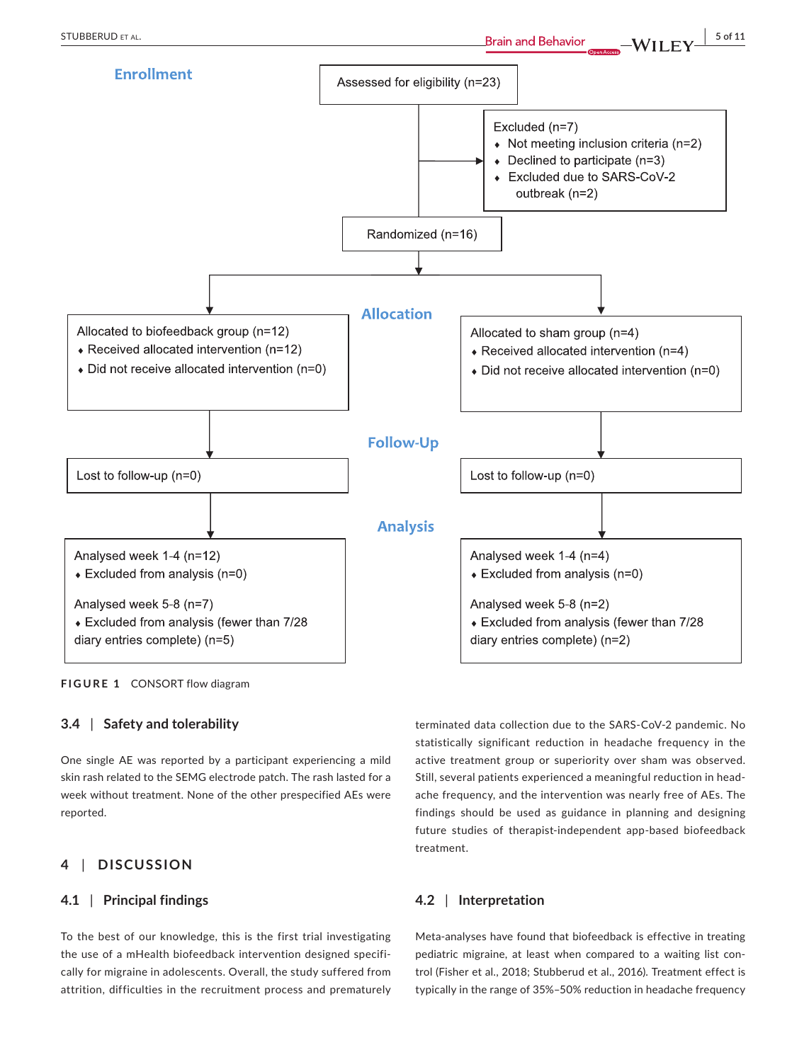

**FIGURE 1** CONSORT flow diagram

# **3.4** | **Safety and tolerability**

One single AE was reported by a participant experiencing a mild skin rash related to the SEMG electrode patch. The rash lasted for a week without treatment. None of the other prespecified AEs were reported.

# **4** | **DISCUSSION**

# **4.1** | **Principal findings**

To the best of our knowledge, this is the first trial investigating the use of a mHealth biofeedback intervention designed specifically for migraine in adolescents. Overall, the study suffered from attrition, difficulties in the recruitment process and prematurely

terminated data collection due to the SARS-CoV-2 pandemic. No statistically significant reduction in headache frequency in the active treatment group or superiority over sham was observed. Still, several patients experienced a meaningful reduction in headache frequency, and the intervention was nearly free of AEs. The findings should be used as guidance in planning and designing future studies of therapist-independent app-based biofeedback treatment.

# **4.2** | **Interpretation**

Meta-analyses have found that biofeedback is effective in treating pediatric migraine, at least when compared to a waiting list control (Fisher et al., 2018; Stubberud et al., 2016). Treatment effect is typically in the range of 35%–50% reduction in headache frequency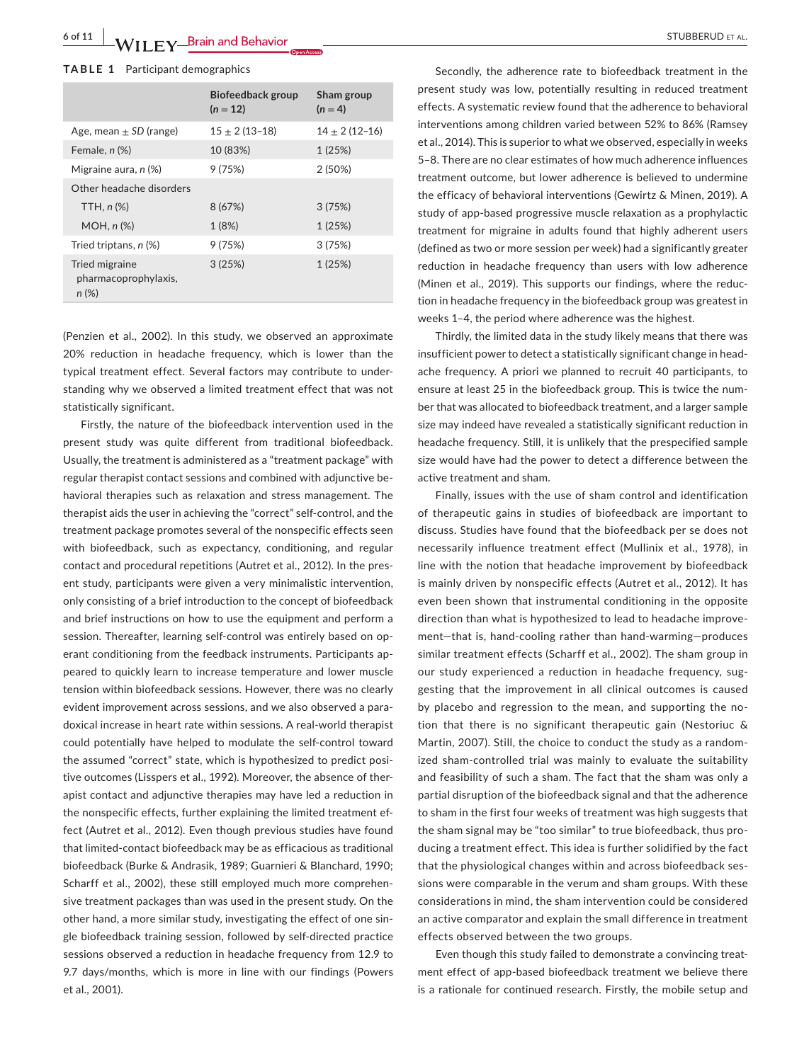#### **TABLE 1** Participant demographics

|                                                    | <b>Biofeedback group</b><br>$(n = 12)$ | Sham group<br>$(n = 4)$ |
|----------------------------------------------------|----------------------------------------|-------------------------|
| Age, mean $\pm$ SD (range)                         | $15 \pm 2(13 - 18)$                    | $14 \pm 2(12 - 16)$     |
| Female, n (%)                                      | 10 (83%)                               | 1(25%)                  |
| Migraine aura, $n$ (%)                             | 9(75%)                                 | 2(50%)                  |
| Other headache disorders                           |                                        |                         |
| TTH, $n$ $%$                                       | 8 (67%)                                | 3(75%)                  |
| $MOH, n(\%)$                                       | 1(8%)                                  | 1(25%)                  |
| Tried triptans, n (%)                              | 9(75%)                                 | 3(75%)                  |
| Tried migraine<br>pharmacoprophylaxis,<br>$n (\%)$ | 3(25%)                                 | 1(25%)                  |

(Penzien et al., 2002). In this study, we observed an approximate 20% reduction in headache frequency, which is lower than the typical treatment effect. Several factors may contribute to understanding why we observed a limited treatment effect that was not statistically significant.

Firstly, the nature of the biofeedback intervention used in the present study was quite different from traditional biofeedback. Usually, the treatment is administered as a "treatment package" with regular therapist contact sessions and combined with adjunctive behavioral therapies such as relaxation and stress management. The therapist aids the user in achieving the "correct" self-control, and the treatment package promotes several of the nonspecific effects seen with biofeedback, such as expectancy, conditioning, and regular contact and procedural repetitions (Autret et al., 2012). In the present study, participants were given a very minimalistic intervention, only consisting of a brief introduction to the concept of biofeedback and brief instructions on how to use the equipment and perform a session. Thereafter, learning self-control was entirely based on operant conditioning from the feedback instruments. Participants appeared to quickly learn to increase temperature and lower muscle tension within biofeedback sessions. However, there was no clearly evident improvement across sessions, and we also observed a paradoxical increase in heart rate within sessions. A real-world therapist could potentially have helped to modulate the self-control toward the assumed "correct" state, which is hypothesized to predict positive outcomes (Lisspers et al., 1992). Moreover, the absence of therapist contact and adjunctive therapies may have led a reduction in the nonspecific effects, further explaining the limited treatment effect (Autret et al., 2012). Even though previous studies have found that limited-contact biofeedback may be as efficacious as traditional biofeedback (Burke & Andrasik, 1989; Guarnieri & Blanchard, 1990; Scharff et al., 2002), these still employed much more comprehensive treatment packages than was used in the present study. On the other hand, a more similar study, investigating the effect of one single biofeedback training session, followed by self-directed practice sessions observed a reduction in headache frequency from 12.9 to 9.7 days/months, which is more in line with our findings (Powers et al., 2001).

Secondly, the adherence rate to biofeedback treatment in the present study was low, potentially resulting in reduced treatment effects. A systematic review found that the adherence to behavioral interventions among children varied between 52% to 86% (Ramsey et al., 2014). This is superior to what we observed, especially in weeks 5–8. There are no clear estimates of how much adherence influences treatment outcome, but lower adherence is believed to undermine the efficacy of behavioral interventions (Gewirtz & Minen, 2019). A study of app-based progressive muscle relaxation as a prophylactic treatment for migraine in adults found that highly adherent users (defined as two or more session per week) had a significantly greater reduction in headache frequency than users with low adherence (Minen et al., 2019). This supports our findings, where the reduction in headache frequency in the biofeedback group was greatest in weeks 1–4, the period where adherence was the highest.

Thirdly, the limited data in the study likely means that there was insufficient power to detect a statistically significant change in headache frequency. A priori we planned to recruit 40 participants, to ensure at least 25 in the biofeedback group. This is twice the number that was allocated to biofeedback treatment, and a larger sample size may indeed have revealed a statistically significant reduction in headache frequency. Still, it is unlikely that the prespecified sample size would have had the power to detect a difference between the active treatment and sham.

Finally, issues with the use of sham control and identification of therapeutic gains in studies of biofeedback are important to discuss. Studies have found that the biofeedback per se does not necessarily influence treatment effect (Mullinix et al., 1978), in line with the notion that headache improvement by biofeedback is mainly driven by nonspecific effects (Autret et al., 2012). It has even been shown that instrumental conditioning in the opposite direction than what is hypothesized to lead to headache improvement—that is, hand-cooling rather than hand-warming—produces similar treatment effects (Scharff et al., 2002). The sham group in our study experienced a reduction in headache frequency, suggesting that the improvement in all clinical outcomes is caused by placebo and regression to the mean, and supporting the notion that there is no significant therapeutic gain (Nestoriuc & Martin, 2007). Still, the choice to conduct the study as a randomized sham-controlled trial was mainly to evaluate the suitability and feasibility of such a sham. The fact that the sham was only a partial disruption of the biofeedback signal and that the adherence to sham in the first four weeks of treatment was high suggests that the sham signal may be "too similar" to true biofeedback, thus producing a treatment effect. This idea is further solidified by the fact that the physiological changes within and across biofeedback sessions were comparable in the verum and sham groups. With these considerations in mind, the sham intervention could be considered an active comparator and explain the small difference in treatment effects observed between the two groups.

Even though this study failed to demonstrate a convincing treatment effect of app-based biofeedback treatment we believe there is a rationale for continued research. Firstly, the mobile setup and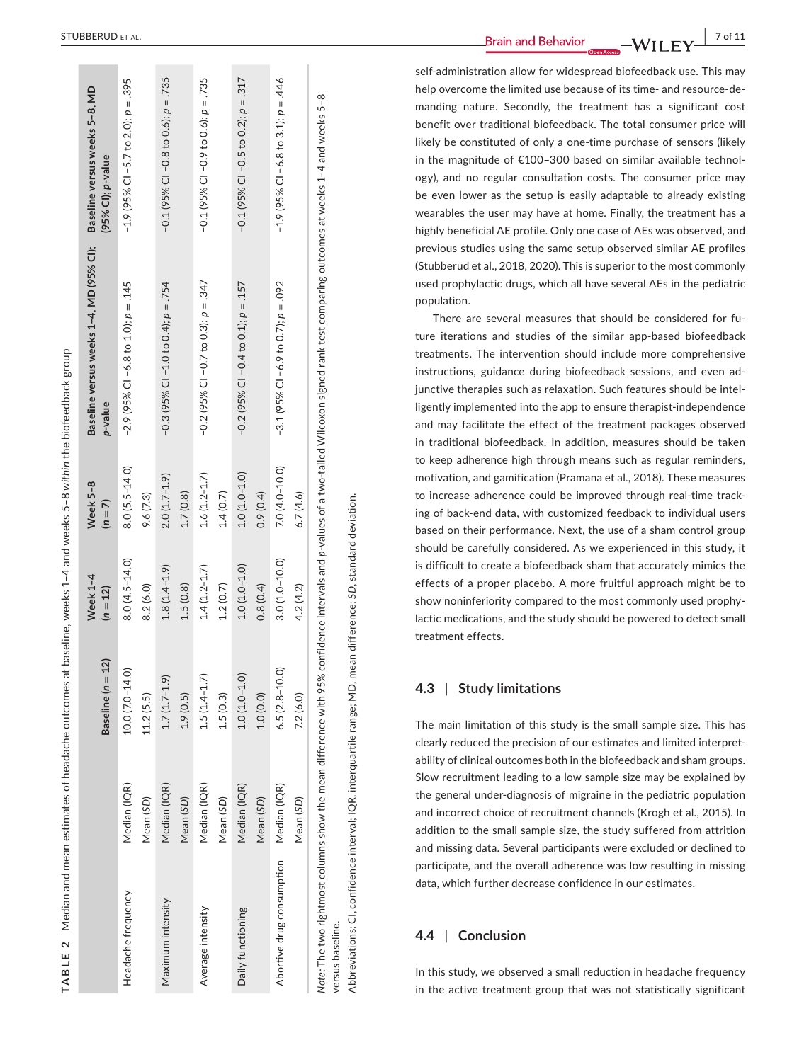| ׇ֠                                 |
|------------------------------------|
|                                    |
|                                    |
|                                    |
| 1                                  |
|                                    |
| Į                                  |
|                                    |
|                                    |
|                                    |
| Ę                                  |
|                                    |
| l                                  |
|                                    |
| l                                  |
| l                                  |
| 5                                  |
|                                    |
|                                    |
| ׇ֚֕֕֡                              |
| I                                  |
| í                                  |
| Ì                                  |
|                                    |
| I<br>١                             |
| j                                  |
| י<br>ו<br>l                        |
| $\overline{\phantom{a}}$           |
|                                    |
| $\overline{\phantom{a}}$<br>ı      |
|                                    |
| Ï                                  |
|                                    |
|                                    |
|                                    |
|                                    |
| l                                  |
|                                    |
|                                    |
|                                    |
| ı                                  |
|                                    |
|                                    |
| í                                  |
|                                    |
| ׇ֚֕֡<br>Ĺ                          |
|                                    |
|                                    |
| l<br>ׇ֚֘                           |
|                                    |
|                                    |
| l                                  |
|                                    |
|                                    |
| ¢<br>J                             |
| l<br>I<br>l                        |
| $\overline{\phantom{a}}$<br>Y<br>I |
| 1<br>ı                             |
| ı                                  |

|                                                                                       |                           | 12)<br>Baseline $(n =$          | Week 1-4<br>$(n = 12)$         | Week 5-8<br>$(n = 7)$          | Baseline versus weeks 1-4, MD (95% CI);<br>p-value                                                                        | Baseline versus weeks 5-8, MD<br>(95% Cl); p-value      |
|---------------------------------------------------------------------------------------|---------------------------|---------------------------------|--------------------------------|--------------------------------|---------------------------------------------------------------------------------------------------------------------------|---------------------------------------------------------|
| Headache frequency                                                                    | Median (IQR)<br>Mean (SD) | $10.0(7.0 - 14.0)$<br>11.2(5.5) | $8.0(4.5 - 14.0)$<br>8.2(6.0)  | $8.0(5.5 - 14.0)$<br>9.6 (7.3) | $-2.9$ (95% CI $-6.8$ to 1.0); $p = .145$                                                                                 | $-1.9$ (95% CI $-5.7$ to 2.0); $p = .395$               |
| Maximum intensity                                                                     | Median (IQR)<br>Mean (SD) | $1.7(1.7-1.9)$<br>1.9(0.5)      | $1.8(1.4 - 1.9)$<br>1.5(0.8)   | $2.0(1.7-1.9)$<br>1.7(0.8)     | $-0.3$ (95% CI $-1.0$ to 0.4); $p = .754$                                                                                 | $-0.1(95\% \text{ CI} - 0.8 \text{ to } 0.6); p = .735$ |
| Average intensity                                                                     | Median (IQR)<br>Mean (SD) | $1.5(1.4 - 1.7)$<br>1.5(0.3)    | $1.4(1.2 - 1.7)$<br>1.2(0.7)   | $1.6(1.2 - 1.7)$<br>1.4(0.7)   | $-0.2$ (95% CI $-0.7$ to 0.3); $p = .347$                                                                                 | $-0.1(95\% \text{ CI} - 0.9 \text{ to } 0.6); p = .735$ |
| Daily functioning                                                                     | Median (IQR)<br>Mean (SD) | $1.0(1.0 - 1.0)$<br>1.0(0.0)    | $1.0(1.0 - 1.0)$<br>0.8(0.4)   | $1.0(1.0-1.0)$<br>0.9(0.4)     | $-0.2$ (95% CI $-0.4$ to 0.1); $p = .157$                                                                                 | $-0.1$ (95% CI $-0.5$ to 0.2); $p = .317$               |
| Abortive drug consumption Median (IQR)                                                | Mean (SD)                 | $6.5(2.8 - 10.0)$<br>7.2(6.0)   | $3.0(1.0 - 10.0)$<br>4.2 (4.2) | $7.0(4.0 - 10.0)$<br>6.7(4.6)  | $-3.1(95\% \text{ CI} -6.9 \text{ to } 0.7); p = .092$                                                                    | $-1.9$ (95% CI $-6.8$ to 3.1); $p = .446$               |
| Note: The two rightmost columns show the mean difference with 95%<br>versus baseline. |                           |                                 |                                |                                | confidence intervals and p-values of a two-tailed Wilcoxon signed rank test comparing outcomes at weeks 1-4 and weeks 5-8 |                                                         |

**EXTUBBERUD ET AL.** 7 of 11

self-administration allow for widespread biofeedback use. This may help overcome the limited use because of its time- and resource-de manding nature. Secondly, the treatment has a significant cost benefit over traditional biofeedback. The total consumer price will likely be constituted of only a one-time purchase of sensors (likely in the magnitude of €100–300 based on similar available technol ogy), and no regular consultation costs. The consumer price may be even lower as the setup is easily adaptable to already existing wearables the user may have at home. Finally, the treatment has a highly beneficial AE profile. Only one case of AEs was observed, and previous studies using the same setup observed similar AE profiles (Stubberud et al., 2018, 2020). This is superior to the most commonly used prophylactic drugs, which all have several AEs in the pediatric population.

There are several measures that should be considered for fu ture iterations and studies of the similar app-based biofeedback treatments. The intervention should include more comprehensive instructions, guidance during biofeedback sessions, and even ad junctive therapies such as relaxation. Such features should be intel ligently implemented into the app to ensure therapist-independence and may facilitate the effect of the treatment packages observed in traditional biofeedback. In addition, measures should be taken to keep adherence high through means such as regular reminders, motivation, and gamification (Pramana et al., 2018). These measures to increase adherence could be improved through real-time track ing of back-end data, with customized feedback to individual users based on their performance. Next, the use of a sham control group should be carefully considered. As we experienced in this study, it is difficult to create a biofeedback sham that accurately mimics the effects of a proper placebo. A more fruitful approach might be to show noninferiority compared to the most commonly used prophy lactic medications, and the study should be powered to detect small treatment effects.

#### **4.3**  | **Study limitations**

Abbreviations: CI, confidence interval; IQR, interquartile range; MD, mean difference; *SD*, standard deviation.Abbreviations: CI, confidence interval; IQR, interquartile range; MD, mean difference; SD, standard deviation

The main limitation of this study is the small sample size. This has clearly reduced the precision of our estimates and limited interpret ability of clinical outcomes both in the biofeedback and sham groups. Slow recruitment leading to a low sample size may be explained by the general under-diagnosis of migraine in the pediatric population and incorrect choice of recruitment channels (Krogh et al., 2015). In addition to the small sample size, the study suffered from attrition and missing data. Several participants were excluded or declined to participate, and the overall adherence was low resulting in missing data, which further decrease confidence in our estimates.

#### **4.4**  | **Conclusion**

In this study, we observed a small reduction in headache frequency in the active treatment group that was not statistically significant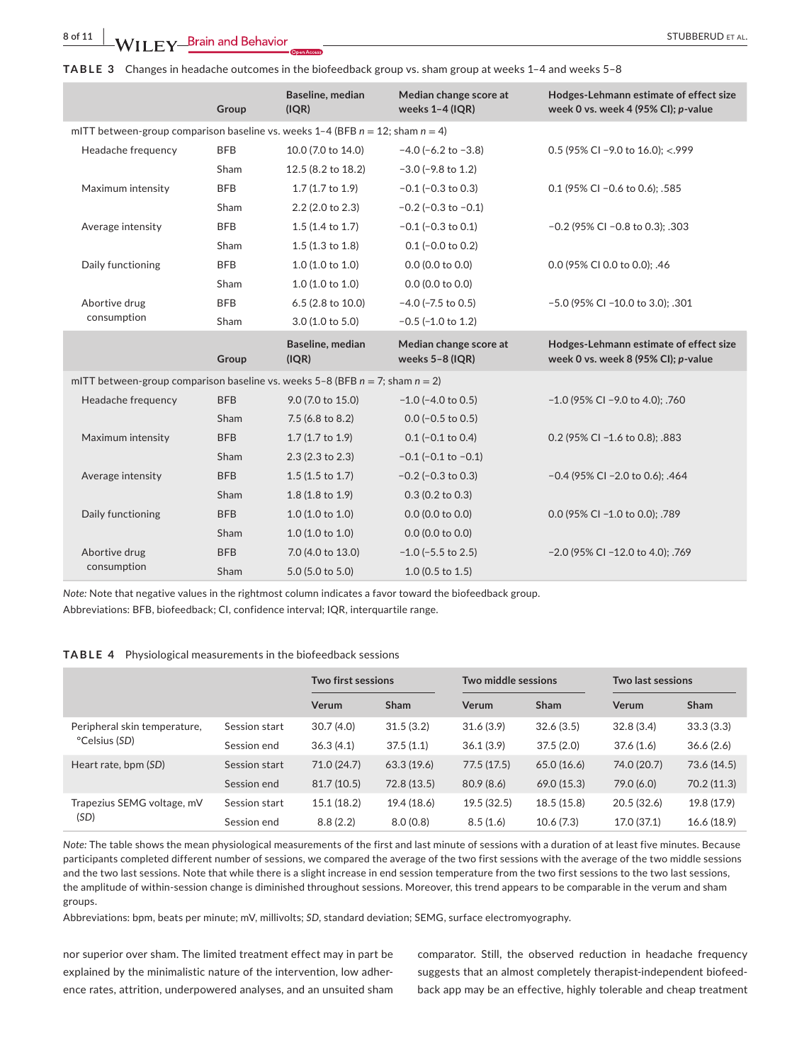**TABLE 3** Changes in headache outcomes in the biofeedback group vs. sham group at weeks 1–4 and weeks 5–8

|                                                                                      | Group      | Baseline, median<br>(IQR)  | Median change score at<br>weeks $1-4$ (IQR) | Hodges-Lehmann estimate of effect size<br>week 0 vs. week 4 (95% CI); p-value |
|--------------------------------------------------------------------------------------|------------|----------------------------|---------------------------------------------|-------------------------------------------------------------------------------|
| mITT between-group comparison baseline vs. weeks 1-4 (BFB $n = 12$ ; sham $n = 4$ )  |            |                            |                                             |                                                                               |
| Headache frequency                                                                   | <b>BFB</b> | 10.0 (7.0 to 14.0)         | $-4.0$ ( $-6.2$ to $-3.8$ )                 | 0.5 (95% CI -9.0 to 16.0); <.999                                              |
|                                                                                      | Sham       | 12.5 (8.2 to 18.2)         | $-3.0$ ( $-9.8$ to 1.2)                     |                                                                               |
| Maximum intensity                                                                    | <b>BFB</b> | 1.7 (1.7 to 1.9)           | $-0.1$ ( $-0.3$ to 0.3)                     | 0.1 (95% CI - 0.6 to 0.6); .585                                               |
|                                                                                      | Sham       | $2.2$ (2.0 to 2.3)         | $-0.2$ ( $-0.3$ to $-0.1$ )                 |                                                                               |
| Average intensity                                                                    | <b>BFB</b> | $1.5(1.4 \text{ to } 1.7)$ | $-0.1$ ( $-0.3$ to 0.1)                     | $-0.2$ (95% CI $-0.8$ to 0.3); .303                                           |
|                                                                                      | Sham       | $1.5(1.3 \text{ to } 1.8)$ | $0.1$ (-0.0 to 0.2)                         |                                                                               |
| Daily functioning                                                                    | <b>BFB</b> | 1.0(1.0 to 1.0)            | $0.0$ (0.0 to 0.0)                          | 0.0 (95% CI 0.0 to 0.0); .46                                                  |
|                                                                                      | Sham       | 1.0(1.0 to 1.0)            | $0.0$ (0.0 to 0.0)                          |                                                                               |
| Abortive drug                                                                        | <b>BFB</b> | 6.5 (2.8 to 10.0)          | $-4.0$ ( $-7.5$ to 0.5)                     | -5.0 (95% CI -10.0 to 3.0); .301                                              |
| consumption                                                                          | Sham       | 3.0 (1.0 to 5.0)           | $-0.5$ ( $-1.0$ to 1.2)                     |                                                                               |
|                                                                                      |            |                            |                                             |                                                                               |
|                                                                                      | Group      | Baseline, median<br>(IQR)  | Median change score at<br>weeks 5-8 (IQR)   | Hodges-Lehmann estimate of effect size<br>week 0 vs. week 8 (95% CI); p-value |
| mITT between-group comparison baseline vs. weeks $5-8$ (BFB $n = 7$ ; sham $n = 2$ ) |            |                            |                                             |                                                                               |
| Headache frequency                                                                   | <b>BFB</b> | 9.0 (7.0 to 15.0)          | $-1.0$ ( $-4.0$ to 0.5)                     | $-1.0$ (95% CI $-9.0$ to 4.0); .760                                           |
|                                                                                      | Sham       | 7.5 (6.8 to 8.2)           | $0.0$ (-0.5 to 0.5)                         |                                                                               |
| Maximum intensity                                                                    | <b>BFB</b> | $1.7(1.7 \text{ to } 1.9)$ | $0.1$ (-0.1 to 0.4)                         | 0.2 (95% CI -1.6 to 0.8); .883                                                |
|                                                                                      | Sham       | $2.3(2.3 \text{ to } 2.3)$ | $-0.1$ ( $-0.1$ to $-0.1$ )                 |                                                                               |
| Average intensity                                                                    | <b>BFB</b> | $1.5(1.5 \text{ to } 1.7)$ | $-0.2$ ( $-0.3$ to 0.3)                     | -0.4 (95% CI -2.0 to 0.6); .464                                               |
|                                                                                      | Sham       | 1.8 (1.8 to 1.9)           | $0.3(0.2 \text{ to } 0.3)$                  |                                                                               |
| Daily functioning                                                                    | <b>BFB</b> | 1.0(1.0 to 1.0)            | $0.0$ (0.0 to 0.0)                          | 0.0 (95% CI -1.0 to 0.0); .789                                                |
|                                                                                      | Sham       | 1.0(1.0 to 1.0)            | $0.0$ (0.0 to 0.0)                          |                                                                               |
| Abortive drug<br>consumption                                                         | <b>BFB</b> | 7.0 (4.0 to 13.0)          | $-1.0$ ( $-5.5$ to 2.5)                     | -2.0 (95% CI -12.0 to 4.0); .769                                              |

*Note:* Note that negative values in the rightmost column indicates a favor toward the biofeedback group.

Abbreviations: BFB, biofeedback; CI, confidence interval; IQR, interquartile range.

### **TABLE 4** Physiological measurements in the biofeedback sessions

|                                               |               | <b>Two first sessions</b> |             | Two middle sessions |             | <b>Two last sessions</b> |             |
|-----------------------------------------------|---------------|---------------------------|-------------|---------------------|-------------|--------------------------|-------------|
|                                               |               | Verum                     | <b>Sham</b> | Verum               | Sham        | Verum                    | Sham        |
| Peripheral skin temperature,<br>°Celsius (SD) | Session start | 30.7(4.0)                 | 31.5(3.2)   | 31.6(3.9)           | 32.6(3.5)   | 32.8(3.4)                | 33.3(3.3)   |
|                                               | Session end   | 36.3(4.1)                 | 37.5(1.1)   | 36.1(3.9)           | 37.5(2.0)   | 37.6(1.6)                | 36.6(2.6)   |
| Heart rate, bpm (SD)                          | Session start | 71.0 (24.7)               | 63.3(19.6)  | 77.5(17.5)          | 65.0(16.6)  | 74.0 (20.7)              | 73.6 (14.5) |
|                                               | Session end   | 81.7(10.5)                | 72.8(13.5)  | 80.9(8.6)           | 69.0 (15.3) | 79.0 (6.0)               | 70.2 (11.3) |
| Trapezius SEMG voltage, mV<br>(SD)            | Session start | 15.1(18.2)                | 19.4 (18.6) | 19.5(32.5)          | 18.5(15.8)  | 20.5(32.6)               | 19.8 (17.9) |
|                                               | Session end   | 8.8(2.2)                  | 8.0(0.8)    | 8.5(1.6)            | 10.6(7.3)   | 17.0 (37.1)              | 16.6(18.9)  |

*Note:* The table shows the mean physiological measurements of the first and last minute of sessions with a duration of at least five minutes. Because participants completed different number of sessions, we compared the average of the two first sessions with the average of the two middle sessions and the two last sessions. Note that while there is a slight increase in end session temperature from the two first sessions to the two last sessions, the amplitude of within-session change is diminished throughout sessions. Moreover, this trend appears to be comparable in the verum and sham groups.

Abbreviations: bpm, beats per minute; mV, millivolts; *SD*, standard deviation; SEMG, surface electromyography.

nor superior over sham. The limited treatment effect may in part be explained by the minimalistic nature of the intervention, low adherence rates, attrition, underpowered analyses, and an unsuited sham

comparator. Still, the observed reduction in headache frequency suggests that an almost completely therapist-independent biofeedback app may be an effective, highly tolerable and cheap treatment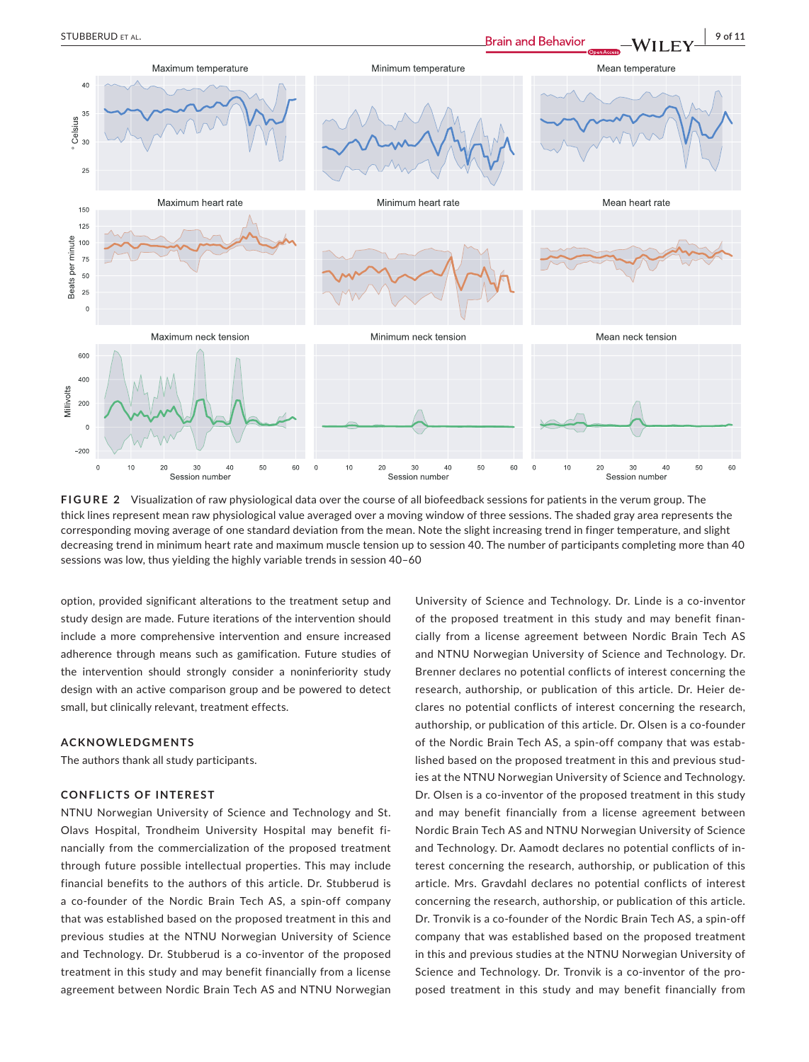

**FIGURE 2** Visualization of raw physiological data over the course of all biofeedback sessions for patients in the verum group. The thick lines represent mean raw physiological value averaged over a moving window of three sessions. The shaded gray area represents the corresponding moving average of one standard deviation from the mean. Note the slight increasing trend in finger temperature, and slight decreasing trend in minimum heart rate and maximum muscle tension up to session 40. The number of participants completing more than 40 sessions was low, thus yielding the highly variable trends in session 40–60

option, provided significant alterations to the treatment setup and study design are made. Future iterations of the intervention should include a more comprehensive intervention and ensure increased adherence through means such as gamification. Future studies of the intervention should strongly consider a noninferiority study design with an active comparison group and be powered to detect small, but clinically relevant, treatment effects.

#### **ACKNOWLEDGMENTS**

The authors thank all study participants.

# **CONFLICTS OF INTEREST**

NTNU Norwegian University of Science and Technology and St. Olavs Hospital, Trondheim University Hospital may benefit financially from the commercialization of the proposed treatment through future possible intellectual properties. This may include financial benefits to the authors of this article. Dr. Stubberud is a co-founder of the Nordic Brain Tech AS, a spin-off company that was established based on the proposed treatment in this and previous studies at the NTNU Norwegian University of Science and Technology. Dr. Stubberud is a co-inventor of the proposed treatment in this study and may benefit financially from a license agreement between Nordic Brain Tech AS and NTNU Norwegian University of Science and Technology. Dr. Linde is a co-inventor of the proposed treatment in this study and may benefit financially from a license agreement between Nordic Brain Tech AS and NTNU Norwegian University of Science and Technology. Dr. Brenner declares no potential conflicts of interest concerning the research, authorship, or publication of this article. Dr. Heier declares no potential conflicts of interest concerning the research, authorship, or publication of this article. Dr. Olsen is a co-founder of the Nordic Brain Tech AS, a spin-off company that was established based on the proposed treatment in this and previous studies at the NTNU Norwegian University of Science and Technology. Dr. Olsen is a co-inventor of the proposed treatment in this study and may benefit financially from a license agreement between Nordic Brain Tech AS and NTNU Norwegian University of Science and Technology. Dr. Aamodt declares no potential conflicts of interest concerning the research, authorship, or publication of this article. Mrs. Gravdahl declares no potential conflicts of interest concerning the research, authorship, or publication of this article. Dr. Tronvik is a co-founder of the Nordic Brain Tech AS, a spin-off company that was established based on the proposed treatment in this and previous studies at the NTNU Norwegian University of Science and Technology. Dr. Tronvik is a co-inventor of the proposed treatment in this study and may benefit financially from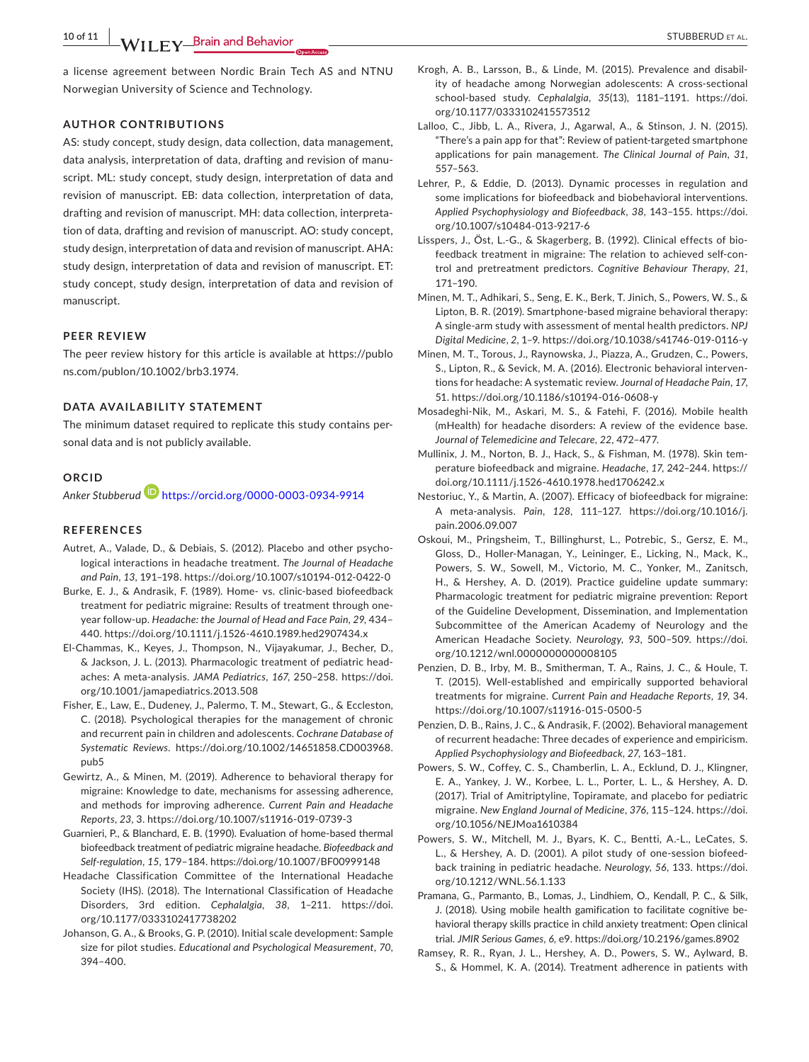**10 of 11 A/II EV Brain and Behavior** *CONSERVER AL.* STUBBERUD ET AL.

a license agreement between Nordic Brain Tech AS and NTNU Norwegian University of Science and Technology.

# **AUTHOR CONTRIBUTIONS**

AS: study concept, study design, data collection, data management, data analysis, interpretation of data, drafting and revision of manuscript. ML: study concept, study design, interpretation of data and revision of manuscript. EB: data collection, interpretation of data, drafting and revision of manuscript. MH: data collection, interpretation of data, drafting and revision of manuscript. AO: study concept, study design, interpretation of data and revision of manuscript. AHA: study design, interpretation of data and revision of manuscript. ET: study concept, study design, interpretation of data and revision of manuscript.

#### **PEER REVIEW**

The peer review history for this article is available at [https://publo](https://publons.com/publon/10.1002/brb3.1974) [ns.com/publon/10.1002/brb3.1974.](https://publons.com/publon/10.1002/brb3.1974)

# **DATA AVAILABILITY STATEMENT**

The minimum dataset required to replicate this study contains personal data and is not publicly available.

### **ORCID**

*Anker Stubberud* <https://orcid.org/0000-0003-0934-9914>

#### **REFERENCES**

- Autret, A., Valade, D., & Debiais, S. (2012). Placebo and other psychological interactions in headache treatment. *The Journal of Headache and Pain*, *13*, 191–198. <https://doi.org/10.1007/s10194-012-0422-0>
- Burke, E. J., & Andrasik, F. (1989). Home- vs. clinic-based biofeedback treatment for pediatric migraine: Results of treatment through oneyear follow-up. *Headache: the Journal of Head and Face Pain*, *29*, 434– 440. <https://doi.org/10.1111/j.1526-4610.1989.hed2907434.x>
- El-Chammas, K., Keyes, J., Thompson, N., Vijayakumar, J., Becher, D., & Jackson, J. L. (2013). Pharmacologic treatment of pediatric headaches: A meta-analysis. *JAMA Pediatrics*, *167*, 250–258. [https://doi.](https://doi.org/10.1001/jamapediatrics.2013.508) [org/10.1001/jamapediatrics.2013.508](https://doi.org/10.1001/jamapediatrics.2013.508)
- Fisher, E., Law, E., Dudeney, J., Palermo, T. M., Stewart, G., & Eccleston, C. (2018). Psychological therapies for the management of chronic and recurrent pain in children and adolescents. *Cochrane Database of Systematic Reviews*. [https://doi.org/10.1002/14651858.CD003968.](https://doi.org/10.1002/14651858.CD003968.pub5) [pub5](https://doi.org/10.1002/14651858.CD003968.pub5)
- Gewirtz, A., & Minen, M. (2019). Adherence to behavioral therapy for migraine: Knowledge to date, mechanisms for assessing adherence, and methods for improving adherence. *Current Pain and Headache Reports*, *23*, 3. <https://doi.org/10.1007/s11916-019-0739-3>
- Guarnieri, P., & Blanchard, E. B. (1990). Evaluation of home-based thermal biofeedback treatment of pediatric migraine headache. *Biofeedback and Self-regulation*, *15*, 179–184. <https://doi.org/10.1007/BF00999148>
- Headache Classification Committee of the International Headache Society (IHS). (2018). The International Classification of Headache Disorders, 3rd edition. *Cephalalgia*, *38*, 1–211. [https://doi.](https://doi.org/10.1177/0333102417738202) [org/10.1177/0333102417738202](https://doi.org/10.1177/0333102417738202)
- Johanson, G. A., & Brooks, G. P. (2010). Initial scale development: Sample size for pilot studies. *Educational and Psychological Measurement*, *70*, 394–400.
- Krogh, A. B., Larsson, B., & Linde, M. (2015). Prevalence and disability of headache among Norwegian adolescents: A cross-sectional school-based study. *Cephalalgia*, *35*(13), 1181–1191. [https://doi.](https://doi.org/10.1177/0333102415573512) [org/10.1177/0333102415573512](https://doi.org/10.1177/0333102415573512)
- Lalloo, C., Jibb, L. A., Rivera, J., Agarwal, A., & Stinson, J. N. (2015). "There's a pain app for that": Review of patient-targeted smartphone applications for pain management. *The Clinical Journal of Pain*, *31*, 557–563.
- Lehrer, P., & Eddie, D. (2013). Dynamic processes in regulation and some implications for biofeedback and biobehavioral interventions. *Applied Psychophysiology and Biofeedback*, *38*, 143–155. [https://doi.](https://doi.org/10.1007/s10484-013-9217-6) [org/10.1007/s10484-013-9217-6](https://doi.org/10.1007/s10484-013-9217-6)
- Lisspers, J., Öst, L.-G., & Skagerberg, B. (1992). Clinical effects of biofeedback treatment in migraine: The relation to achieved self-control and pretreatment predictors. *Cognitive Behaviour Therapy*, *21*, 171–190.
- Minen, M. T., Adhikari, S., Seng, E. K., Berk, T. Jinich, S., Powers, W. S., & Lipton, B. R. (2019). Smartphone-based migraine behavioral therapy: A single-arm study with assessment of mental health predictors. *NPJ Digital Medicine*, *2*, 1–9. <https://doi.org/10.1038/s41746-019-0116-y>
- Minen, M. T., Torous, J., Raynowska, J., Piazza, A., Grudzen, C., Powers, S., Lipton, R., & Sevick, M. A. (2016). Electronic behavioral interventions for headache: A systematic review. *Journal of Headache Pain*, *17*, 51. <https://doi.org/10.1186/s10194-016-0608-y>
- Mosadeghi-Nik, M., Askari, M. S., & Fatehi, F. (2016). Mobile health (mHealth) for headache disorders: A review of the evidence base. *Journal of Telemedicine and Telecare*, *22*, 472–477.
- Mullinix, J. M., Norton, B. J., Hack, S., & Fishman, M. (1978). Skin temperature biofeedback and migraine. *Headache*, *17*, 242–244. [https://](https://doi.org/10.1111/j.1526-4610.1978.hed1706242.x) [doi.org/10.1111/j.1526-4610.1978.hed1706242.x](https://doi.org/10.1111/j.1526-4610.1978.hed1706242.x)
- Nestoriuc, Y., & Martin, A. (2007). Efficacy of biofeedback for migraine: A meta-analysis. *Pain*, *128*, 111–127. [https://doi.org/10.1016/j.](https://doi.org/10.1016/j.pain.2006.09.007) [pain.2006.09.007](https://doi.org/10.1016/j.pain.2006.09.007)
- Oskoui, M., Pringsheim, T., Billinghurst, L., Potrebic, S., Gersz, E. M., Gloss, D., Holler-Managan, Y., Leininger, E., Licking, N., Mack, K., Powers, S. W., Sowell, M., Victorio, M. C., Yonker, M., Zanitsch, H., & Hershey, A. D. (2019). Practice guideline update summary: Pharmacologic treatment for pediatric migraine prevention: Report of the Guideline Development, Dissemination, and Implementation Subcommittee of the American Academy of Neurology and the American Headache Society. *Neurology*, *93*, 500–509. [https://doi.](https://doi.org/10.1212/wnl.0000000000008105) [org/10.1212/wnl.0000000000008105](https://doi.org/10.1212/wnl.0000000000008105)
- Penzien, D. B., Irby, M. B., Smitherman, T. A., Rains, J. C., & Houle, T. T. (2015). Well-established and empirically supported behavioral treatments for migraine. *Current Pain and Headache Reports*, *19*, 34. <https://doi.org/10.1007/s11916-015-0500-5>
- Penzien, D. B., Rains, J. C., & Andrasik, F. (2002). Behavioral management of recurrent headache: Three decades of experience and empiricism. *Applied Psychophysiology and Biofeedback*, *27*, 163–181.
- Powers, S. W., Coffey, C. S., Chamberlin, L. A., Ecklund, D. J., Klingner, E. A., Yankey, J. W., Korbee, L. L., Porter, L. L., & Hershey, A. D. (2017). Trial of Amitriptyline, Topiramate, and placebo for pediatric migraine. *New England Journal of Medicine*, *376*, 115–124. [https://doi.](https://doi.org/10.1056/NEJMoa1610384) [org/10.1056/NEJMoa1610384](https://doi.org/10.1056/NEJMoa1610384)
- Powers, S. W., Mitchell, M. J., Byars, K. C., Bentti, A.-L., LeCates, S. L., & Hershey, A. D. (2001). A pilot study of one-session biofeedback training in pediatric headache. *Neurology*, *56*, 133. [https://doi.](https://doi.org/10.1212/WNL.56.1.133) [org/10.1212/WNL.56.1.133](https://doi.org/10.1212/WNL.56.1.133)
- Pramana, G., Parmanto, B., Lomas, J., Lindhiem, O., Kendall, P. C., & Silk, J. (2018). Using mobile health gamification to facilitate cognitive behavioral therapy skills practice in child anxiety treatment: Open clinical trial. *JMIR Serious Games*, *6*, e9. <https://doi.org/10.2196/games.8902>
- Ramsey, R. R., Ryan, J. L., Hershey, A. D., Powers, S. W., Aylward, B. S., & Hommel, K. A. (2014). Treatment adherence in patients with